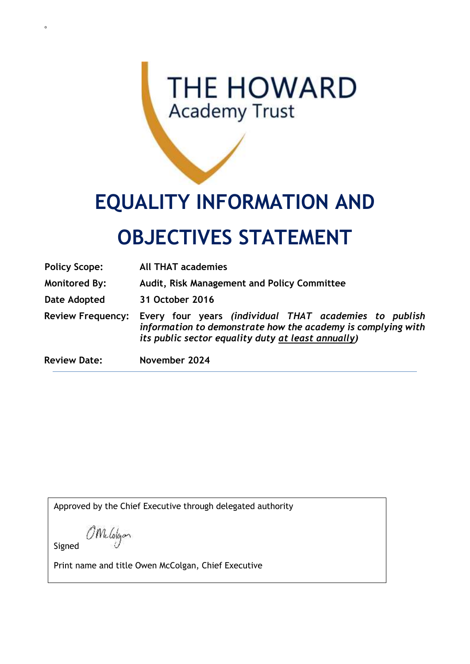## **THE HOWARD Academy Trust**

# **EQUALITY INFORMATION AND**

## **OBJECTIVES STATEMENT**

| <b>Policy Scope:</b>     | <b>All THAT academies</b>                                                                                                                                                    |
|--------------------------|------------------------------------------------------------------------------------------------------------------------------------------------------------------------------|
| <b>Monitored By:</b>     | Audit, Risk Management and Policy Committee                                                                                                                                  |
| Date Adopted             | 31 October 2016                                                                                                                                                              |
| <b>Review Frequency:</b> | Every four years (individual THAT academies to publish<br>information to demonstrate how the academy is complying with<br>its public sector equality duty at least annually) |
| <b>Review Date:</b>      | November 2024                                                                                                                                                                |

Approved by the Chief Executive through delegated authority

OMelolgan

Signed

o

Print name and title Owen McColgan, Chief Executive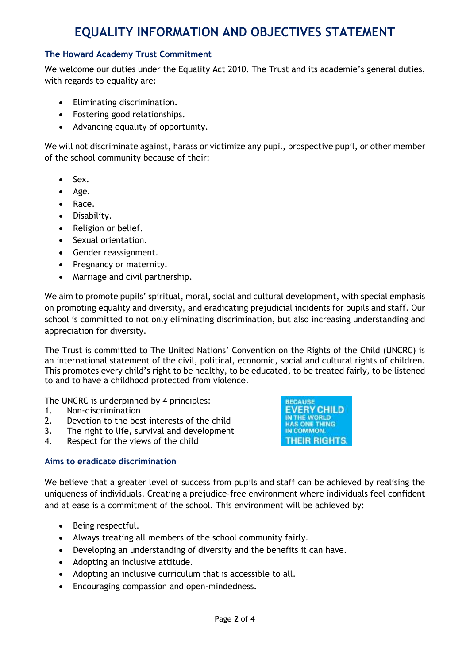### **EQUALITY INFORMATION AND OBJECTIVES STATEMENT**

#### **The Howard Academy Trust Commitment**

We welcome our duties under the Equality Act 2010. The Trust and its academie's general duties, with regards to equality are:

- Eliminating discrimination.
- Fostering good relationships.
- Advancing equality of opportunity.

We will not discriminate against, harass or victimize any pupil, prospective pupil, or other member of the school community because of their:

- Sex.
- Age.
- Race.
- Disability.
- Religion or belief.
- Sexual orientation.
- Gender reassignment.
- Pregnancy or maternity.
- Marriage and civil partnership.

We aim to promote pupils' spiritual, moral, social and cultural development, with special emphasis on promoting equality and diversity, and eradicating prejudicial incidents for pupils and staff. Our school is committed to not only eliminating discrimination, but also increasing understanding and appreciation for diversity.

The Trust is committed to The United Nations' Convention on the Rights of the Child (UNCRC) is an international statement of the civil, political, economic, social and cultural rights of children. This promotes every child's right to be healthy, to be educated, to be treated fairly, to be listened to and to have a childhood protected from violence.

The UNCRC is underpinned by 4 principles:

- 1. Non-discrimination
- 2. Devotion to the best interests of the child
- 3. The right to life, survival and development
- 4. Respect for the views of the child



#### **Aims to eradicate discrimination**

We believe that a greater level of success from pupils and staff can be achieved by realising the uniqueness of individuals. Creating a prejudice-free environment where individuals feel confident and at ease is a commitment of the school. This environment will be achieved by:

- Being respectful.
- Always treating all members of the school community fairly.
- Developing an understanding of diversity and the benefits it can have.
- Adopting an inclusive attitude.
- Adopting an inclusive curriculum that is accessible to all.
- Encouraging compassion and open-mindedness.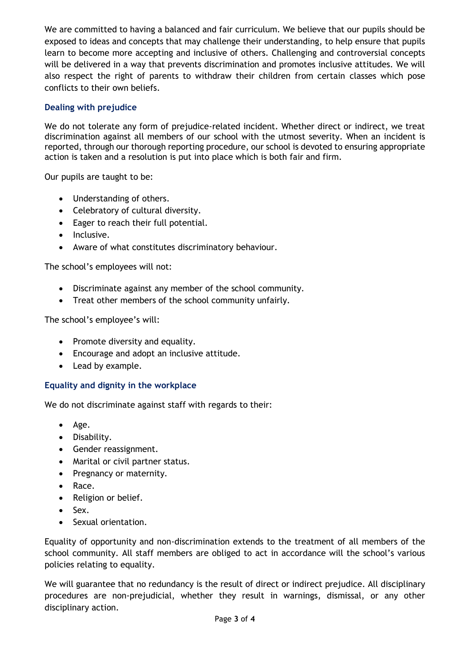We are committed to having a balanced and fair curriculum. We believe that our pupils should be exposed to ideas and concepts that may challenge their understanding, to help ensure that pupils learn to become more accepting and inclusive of others. Challenging and controversial concepts will be delivered in a way that prevents discrimination and promotes inclusive attitudes. We will also respect the right of parents to withdraw their children from certain classes which pose conflicts to their own beliefs.

#### **Dealing with prejudice**

We do not tolerate any form of prejudice-related incident. Whether direct or indirect, we treat discrimination against all members of our school with the utmost severity. When an incident is reported, through our thorough reporting procedure, our school is devoted to ensuring appropriate action is taken and a resolution is put into place which is both fair and firm.

Our pupils are taught to be:

- Understanding of others.
- Celebratory of cultural diversity.
- Eager to reach their full potential.
- Inclusive.
- Aware of what constitutes discriminatory behaviour.

The school's employees will not:

- Discriminate against any member of the school community.
- Treat other members of the school community unfairly.

The school's employee's will:

- Promote diversity and equality.
- Encourage and adopt an inclusive attitude.
- Lead by example.

#### **Equality and dignity in the workplace**

We do not discriminate against staff with regards to their:

- Age.
- Disability.
- Gender reassignment.
- Marital or civil partner status.
- Pregnancy or maternity.
- Race.
- Religion or belief.
- Sex.
- Sexual orientation.

Equality of opportunity and non-discrimination extends to the treatment of all members of the school community. All staff members are obliged to act in accordance will the school's various policies relating to equality.

We will guarantee that no redundancy is the result of direct or indirect prejudice. All disciplinary procedures are non-prejudicial, whether they result in warnings, dismissal, or any other disciplinary action.